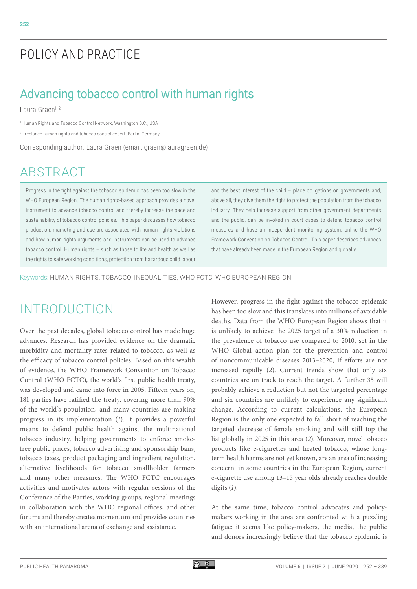# POLICY AND PRACTICE

# Advancing tobacco control with human rights

Laura Graen<sup>1, 2</sup>

1 Human Rights and Tobacco Control Network, Washington D.C., USA

2 Freelance human rights and tobacco control expert, Berlin, Germany

Corresponding author: Laura Graen (email: graen@lauragraen.de)

# ABSTRACT

Progress in the fight against the tobacco epidemic has been too slow in the WHO European Region. The human rights-based approach provides a novel instrument to advance tobacco control and thereby increase the pace and sustainability of tobacco control policies. This paper discusses how tobacco production, marketing and use are associated with human rights violations and how human rights arguments and instruments can be used to advance tobacco control. Human rights – such as those to life and health as well as the rights to safe working conditions, protection from hazardous child labour and the best interest of the child – place obligations on governments and, above all, they give them the right to protect the population from the tobacco industry. They help increase support from other government departments and the public, can be invoked in court cases to defend tobacco control measures and have an independent monitoring system, unlike the WHO Framework Convention on Tobacco Control. This paper describes advances that have already been made in the European Region and globally.

Keywords: HUMAN RIGHTS, TOBACCO, INEQUALITIES, WHO FCTC, WHO EUROPEAN REGION

## INTRODUCTION

Over the past decades, global tobacco control has made huge advances. Research has provided evidence on the dramatic morbidity and mortality rates related to tobacco, as well as the efficacy of tobacco control policies. Based on this wealth of evidence, the WHO Framework Convention on Tobacco Control (WHO FCTC), the world's first public health treaty, was developed and came into force in 2005. Fifteen years on, 181 parties have ratified the treaty, covering more than 90% of the world's population, and many countries are making progress in its implementation (*1*). It provides a powerful means to defend public health against the multinational tobacco industry, helping governments to enforce smokefree public places, tobacco advertising and sponsorship bans, tobacco taxes, product packaging and ingredient regulation, alternative livelihoods for tobacco smallholder farmers and many other measures. The WHO FCTC encourages activities and motivates actors with regular sessions of the Conference of the Parties, working groups, regional meetings in collaboration with the WHO regional offices, and other forums and thereby creates momentum and provides countries with an international arena of exchange and assistance.

However, progress in the fight against the tobacco epidemic has been too slow and this translates into millions of avoidable deaths. Data from the WHO European Region shows that it is unlikely to achieve the 2025 target of a 30% reduction in the prevalence of tobacco use compared to 2010, set in the WHO Global action plan for the prevention and control of noncommunicable diseases 2013–2020, if efforts are not increased rapidly (*2*). Current trends show that only six countries are on track to reach the target. A further 35 will probably achieve a reduction but not the targeted percentage and six countries are unlikely to experience any significant change. According to current calculations, the European Region is the only one expected to fall short of reaching the targeted decrease of female smoking and will still top the list globally in 2025 in this area (*2*). Moreover, novel tobacco products like e-cigarettes and heated tobacco, whose longterm health harms are not yet known, are an area of increasing concern: in some countries in the European Region, current e-cigarette use among 13–15 year olds already reaches double digits (*1*).

At the same time, tobacco control advocates and policymakers working in the area are confronted with a puzzling fatigue: it seems like policy-makers, the media, the public and donors increasingly believe that the tobacco epidemic is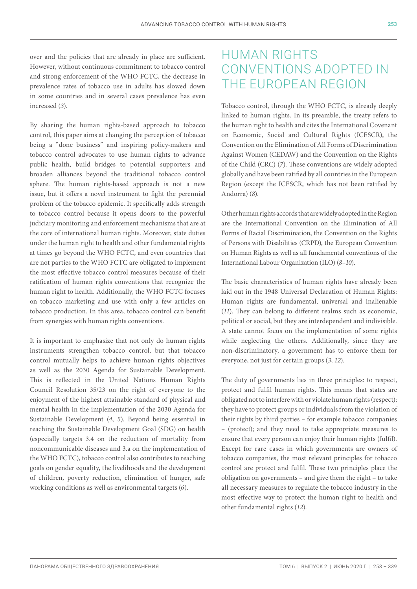over and the policies that are already in place are sufficient. However, without continuous commitment to tobacco control and strong enforcement of the WHO FCTC, the decrease in prevalence rates of tobacco use in adults has slowed down in some countries and in several cases prevalence has even increased (*3*).

By sharing the human rights-based approach to tobacco control, this paper aims at changing the perception of tobacco being a "done business" and inspiring policy-makers and tobacco control advocates to use human rights to advance public health, build bridges to potential supporters and broaden alliances beyond the traditional tobacco control sphere. The human rights-based approach is not a new issue, but it offers a novel instrument to fight the perennial problem of the tobacco epidemic. It specifically adds strength to tobacco control because it opens doors to the powerful judiciary monitoring and enforcement mechanisms that are at the core of international human rights. Moreover, state duties under the human right to health and other fundamental rights at times go beyond the WHO FCTC, and even countries that are not parties to the WHO FCTC are obligated to implement the most effective tobacco control measures because of their ratification of human rights conventions that recognize the human right to health. Additionally, the WHO FCTC focuses on tobacco marketing and use with only a few articles on tobacco production. In this area, tobacco control can benefit from synergies with human rights conventions.

It is important to emphasize that not only do human rights instruments strengthen tobacco control, but that tobacco control mutually helps to achieve human rights objectives as well as the 2030 Agenda for Sustainable Development. This is reflected in the United Nations Human Rights Council Resolution 35/23 on the right of everyone to the enjoyment of the highest attainable standard of physical and mental health in the implementation of the 2030 Agenda for Sustainable Development (*4*, *5*). Beyond being essential in reaching the Sustainable Development Goal (SDG) on health (especially targets 3.4 on the reduction of mortality from noncommunicable diseases and 3.a on the implementation of the WHO FCTC), tobacco control also contributes to reaching goals on gender equality, the livelihoods and the development of children, poverty reduction, elimination of hunger, safe working conditions as well as environmental targets (*6*).

## HUMAN RIGHTS CONVENTIONS ADOPTED IN THE EUROPEAN REGION

Tobacco control, through the WHO FCTC, is already deeply linked to human rights. In its preamble, the treaty refers to the human right to health and cites the International Covenant on Economic, Social and Cultural Rights (ICESCR), the Convention on the Elimination of All Forms of Discrimination Against Women (CEDAW) and the Convention on the Rights of the Child (CRC) (*7*). These conventions are widely adopted globally and have been ratified by all countries in the European Region (except the ICESCR, which has not been ratified by Andorra) (*8*).

Other human rights accords that are widely adopted in the Region are the International Convention on the Elimination of All Forms of Racial Discrimination, the Convention on the Rights of Persons with Disabilities (CRPD), the European Convention on Human Rights as well as all fundamental conventions of the International Labour Organization (ILO) (*8*–*10*).

The basic characteristics of human rights have already been laid out in the 1948 Universal Declaration of Human Rights: Human rights are fundamental, universal and inalienable (*11*). They can belong to different realms such as economic, political or social, but they are interdependent and indivisible. A state cannot focus on the implementation of some rights while neglecting the others. Additionally, since they are non-discriminatory, a government has to enforce them for everyone, not just for certain groups (*3*, *12*).

The duty of governments lies in three principles: to respect, protect and fulfil human rights. This means that states are obligated not to interfere with or violate human rights (respect); they have to protect groups or individuals from the violation of their rights by third parties – for example tobacco companies – (protect); and they need to take appropriate measures to ensure that every person can enjoy their human rights (fulfil). Except for rare cases in which governments are owners of tobacco companies, the most relevant principles for tobacco control are protect and fulfil. These two principles place the obligation on governments – and give them the right – to take all necessary measures to regulate the tobacco industry in the most effective way to protect the human right to health and other fundamental rights (*12*).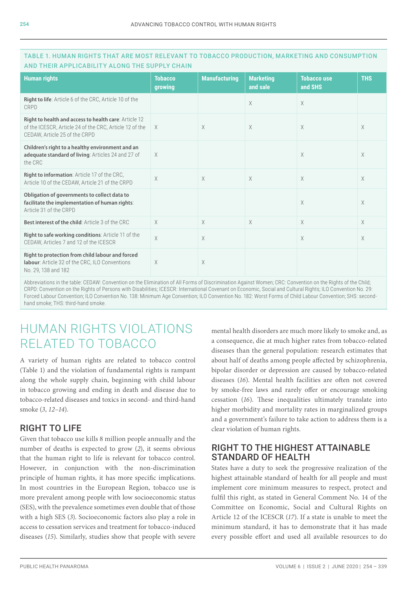| <b>Human rights</b>                                                                                                                                      | <b>Tobacco</b><br>growing | <b>Manufacturing</b> | <b>Marketing</b><br>and sale | <b>Tobacco use</b><br>and SHS | <b>THS</b> |
|----------------------------------------------------------------------------------------------------------------------------------------------------------|---------------------------|----------------------|------------------------------|-------------------------------|------------|
| <b>Right to life:</b> Article 6 of the CRC, Article 10 of the<br>CRPD                                                                                    |                           |                      | X                            | $\times$                      |            |
| <b>Right to health and access to health care: Article 12</b><br>of the ICESCR, Article 24 of the CRC, Article 12 of the<br>CEDAW, Article 25 of the CRPD | $\times$                  | $\times$             | X                            | X                             | X          |
| Children's right to a healthy environment and an<br>adequate standard of living: Articles 24 and 27 of<br>the CRC                                        | $\times$                  |                      |                              | $\times$                      | X          |
| Right to information: Article 17 of the CRC,<br>Article 10 of the CEDAW, Article 21 of the CRPD                                                          | X                         | $\times$             | $\times$                     | $\times$                      | X          |
| Obligation of governments to collect data to<br>facilitate the implementation of human rights:<br>Article 31 of the CRPD                                 |                           |                      |                              | $\times$                      | X          |
| <b>Best interest of the child:</b> Article 3 of the CRC                                                                                                  | $\times$                  | $\times$             | $\times$                     | $\times$                      | $\times$   |
| Right to safe working conditions: Article 11 of the<br>CEDAW, Articles 7 and 12 of the ICESCR                                                            | $\times$                  | $\times$             |                              | $\times$                      | X          |
| Right to protection from child labour and forced<br>labour: Article 32 of the CRC, ILO Conventions<br>No. 29, 138 and 182                                | $\times$                  | $\times$             |                              |                               |            |

#### TABLE 1. HUMAN RIGHTS THAT ARE MOST RELEVANT TO TOBACCO PRODUCTION, MARKETING AND CONSUMPTION AND THEIR APPLICABILITY ALONG THE SUPPLY CHAIN

Abbreviations in the table: CEDAW: Convention on the Elimination of All Forms of Discrimination Against Women; CRC: Convention on the Rights of the Child; CRPD: Convention on the Rights of Persons with Disabilities; ICESCR: International Covenant on Economic, Social and Cultural Rights; ILO Convention No. 29: Forced Labour Convention; ILO Convention No. 138: Minimum Age Convention; ILO Convention No. 182: Worst Forms of Child Labour Convention; SHS: secondhand smoke; THS: third-hand smoke.

## HUMAN RIGHTS VIOLATIONS RELATED TO TOBACCO

A variety of human rights are related to tobacco control (Table 1) and the violation of fundamental rights is rampant along the whole supply chain, beginning with child labour in tobacco growing and ending in death and disease due to tobacco-related diseases and toxics in second- and third-hand smoke (*3*, *12*–*14*).

### RIGHT TO LIFE

Given that tobacco use kills 8 million people annually and the number of deaths is expected to grow (*2*), it seems obvious that the human right to life is relevant for tobacco control. However, in conjunction with the non-discrimination principle of human rights, it has more specific implications. In most countries in the European Region, tobacco use is more prevalent among people with low socioeconomic status (SES), with the prevalence sometimes even double that of those with a high SES (*3*). Socioeconomic factors also play a role in access to cessation services and treatment for tobacco-induced diseases (*15*). Similarly, studies show that people with severe

mental health disorders are much more likely to smoke and, as a consequence, die at much higher rates from tobacco-related diseases than the general population: research estimates that about half of deaths among people affected by schizophrenia, bipolar disorder or depression are caused by tobacco-related diseases (*16*). Mental health facilities are often not covered by smoke-free laws and rarely offer or encourage smoking cessation (*16*). These inequalities ultimately translate into higher morbidity and mortality rates in marginalized groups and a government's failure to take action to address them is a clear violation of human rights.

### RIGHT TO THE HIGHEST ATTAINABLE STANDARD OF HEALTH

States have a duty to seek the progressive realization of the highest attainable standard of health for all people and must implement core minimum measures to respect, protect and fulfil this right, as stated in General Comment No. 14 of the Committee on Economic, Social and Cultural Rights on Article 12 of the ICESCR (*17*). If a state is unable to meet the minimum standard, it has to demonstrate that it has made every possible effort and used all available resources to do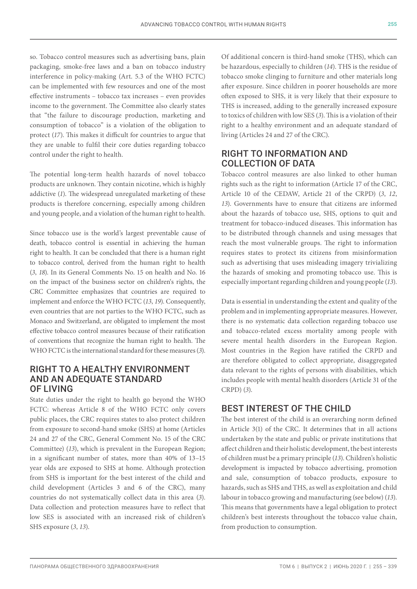so. Tobacco control measures such as advertising bans, plain packaging, smoke-free laws and a ban on tobacco industry interference in policy-making (Art. 5.3 of the WHO FCTC) can be implemented with few resources and one of the most effective instruments – tobacco tax increases – even provides income to the government. The Committee also clearly states that "the failure to discourage production, marketing and consumption of tobacco" is a violation of the obligation to protect (*17*). This makes it difficult for countries to argue that they are unable to fulfil their core duties regarding tobacco control under the right to health.

The potential long-term health hazards of novel tobacco products are unknown. They contain nicotine, which is highly addictive (*1*). The widespread unregulated marketing of these products is therefore concerning, especially among children and young people, and a violation of the human right to health.

Since tobacco use is the world's largest preventable cause of death, tobacco control is essential in achieving the human right to health. It can be concluded that there is a human right to tobacco control, derived from the human right to health (*3*, *18*). In its General Comments No. 15 on health and No. 16 on the impact of the business sector on children's rights, the CRC Committee emphasizes that countries are required to implement and enforce the WHO FCTC (*13*, *19*). Consequently, even countries that are not parties to the WHO FCTC, such as Monaco and Switzerland, are obligated to implement the most effective tobacco control measures because of their ratification of conventions that recognize the human right to health. The WHO FCTC is the international standard for these measures (*3*).

#### RIGHT TO A HEALTHY ENVIRONMENT AND AN ADEQUATE STANDARD OF LIVING

State duties under the right to health go beyond the WHO FCTC: whereas Article 8 of the WHO FCTC only covers public places, the CRC requires states to also protect children from exposure to second-hand smoke (SHS) at home (Articles 24 and 27 of the CRC, General Comment No. 15 of the CRC Committee) (*13*), which is prevalent in the European Region; in a significant number of states, more than 40% of 13–15 year olds are exposed to SHS at home. Although protection from SHS is important for the best interest of the child and child development (Articles 3 and 6 of the CRC), many countries do not systematically collect data in this area (*3*). Data collection and protection measures have to reflect that low SES is associated with an increased risk of children's SHS exposure (*3*, *13*).

Of additional concern is third-hand smoke (THS), which can be hazardous, especially to children (*14*). THS is the residue of tobacco smoke clinging to furniture and other materials long after exposure. Since children in poorer households are more often exposed to SHS, it is very likely that their exposure to THS is increased, adding to the generally increased exposure to toxics of children with low SES (*3*). This is a violation of their right to a healthy environment and an adequate standard of living (Articles 24 and 27 of the CRC).

### RIGHT TO INFORMATION AND COLLECTION OF DATA

Tobacco control measures are also linked to other human rights such as the right to information (Article 17 of the CRC, Article 10 of the CEDAW, Article 21 of the CRPD) (*3*, *12*, *13*). Governments have to ensure that citizens are informed about the hazards of tobacco use, SHS, options to quit and treatment for tobacco-induced diseases. This information has to be distributed through channels and using messages that reach the most vulnerable groups. The right to information requires states to protect its citizens from misinformation such as advertising that uses misleading imagery trivializing the hazards of smoking and promoting tobacco use. This is especially important regarding children and young people (*13*).

Data is essential in understanding the extent and quality of the problem and in implementing appropriate measures. However, there is no systematic data collection regarding tobacco use and tobacco-related excess mortality among people with severe mental health disorders in the European Region. Most countries in the Region have ratified the CRPD and are therefore obligated to collect appropriate, disaggregated data relevant to the rights of persons with disabilities, which includes people with mental health disorders (Article 31 of the CRPD) (*3*).

### BEST INTEREST OF THE CHILD

The best interest of the child is an overarching norm defined in Article 3(1) of the CRC. It determines that in all actions undertaken by the state and public or private institutions that affect children and their holistic development, the best interests of children must be a primary principle (*13*). Children's holistic development is impacted by tobacco advertising, promotion and sale, consumption of tobacco products, exposure to hazards, such as SHS and THS, as well as exploitation and child labour in tobacco growing and manufacturing (see below) (*13*). This means that governments have a legal obligation to protect children's best interests throughout the tobacco value chain, from production to consumption.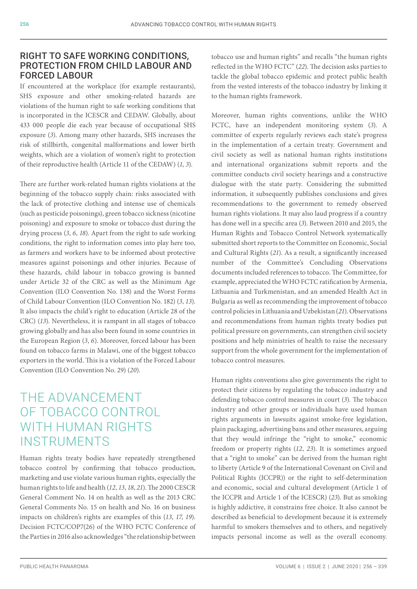### RIGHT TO SAFE WORKING CONDITIONS, PROTECTION FROM CHILD LABOUR AND FORCED LABOUR

If encountered at the workplace (for example restaurants), SHS exposure and other smoking-related hazards are violations of the human right to safe working conditions that is incorporated in the ICESCR and CEDAW. Globally, about 433 000 people die each year because of occupational SHS exposure (*3*). Among many other hazards, SHS increases the risk of stillbirth, congenital malformations and lower birth weights, which are a violation of women's right to protection of their reproductive health (Article 11 of the CEDAW) (*1*, *3*).

There are further work-related human rights violations at the beginning of the tobacco supply chain: risks associated with the lack of protective clothing and intense use of chemicals (such as pesticide poisonings), green tobacco sickness (nicotine poisoning) and exposure to smoke or tobacco dust during the drying process (*3*, *6*, *18*). Apart from the right to safe working conditions, the right to information comes into play here too, as farmers and workers have to be informed about protective measures against poisonings and other injuries. Because of these hazards, child labour in tobacco growing is banned under Article 32 of the CRC as well as the Minimum Age Convention (ILO Convention No. 138) and the Worst Forms of Child Labour Convention (ILO Convention No. 182) (*3*, *13*). It also impacts the child's right to education (Article 28 of the CRC) (*13*). Nevertheless, it is rampant in all stages of tobacco growing globally and has also been found in some countries in the European Region (*3*, *6*). Moreover, forced labour has been found on tobacco farms in Malawi, one of the biggest tobacco exporters in the world. This is a violation of the Forced Labour Convention (ILO Convention No. 29) (*20*).

## THE ADVANCEMENT OF TOBACCO CONTROL WITH HUMAN RIGHTS INSTRUMENTS

Human rights treaty bodies have repeatedly strengthened tobacco control by confirming that tobacco production, marketing and use violate various human rights, especially the human rights to life and health (*12*, *13*, *18*, *21*). The 2000 CESCR General Comment No. 14 on health as well as the 2013 CRC General Comments No. 15 on health and No. 16 on business impacts on children's rights are examples of this (*13*, *17*, *19*). Decision FCTC/COP7(26) of the WHO FCTC Conference of the Parties in 2016 also acknowledges "the relationship between

tobacco use and human rights" and recalls "the human rights reflected in the WHO FCTC" (*22*). The decision asks parties to tackle the global tobacco epidemic and protect public health from the vested interests of the tobacco industry by linking it to the human rights framework.

Moreover, human rights conventions, unlike the WHO FCTC, have an independent monitoring system (*3*). A committee of experts regularly reviews each state's progress in the implementation of a certain treaty. Government and civil society as well as national human rights institutions and international organizations submit reports and the committee conducts civil society hearings and a constructive dialogue with the state party. Considering the submitted information, it subsequently publishes conclusions and gives recommendations to the government to remedy observed human rights violations. It may also laud progress if a country has done well in a specific area (*3*). Between 2010 and 2015, the Human Rights and Tobacco Control Network systematically submitted short reports to the Committee on Economic, Social and Cultural Rights (*21*). As a result, a significantly increased number of the Committee's Concluding Observations documents included references to tobacco. The Committee, for example, appreciated the WHO FCTC ratification by Armenia, Lithuania and Turkmenistan, and an amended Health Act in Bulgaria as well as recommending the improvement of tobacco control policies in Lithuania and Uzbekistan (*21*). Observations and recommendations from human rights treaty bodies put political pressure on governments, can strengthen civil society positions and help ministries of health to raise the necessary support from the whole government for the implementation of tobacco control measures.

Human rights conventions also give governments the right to protect their citizens by regulating the tobacco industry and defending tobacco control measures in court (*3*). The tobacco industry and other groups or individuals have used human rights arguments in lawsuits against smoke-free legislation, plain packaging, advertising bans and other measures, arguing that they would infringe the "right to smoke," economic freedom or property rights (*12*, *23*). It is sometimes argued that a "right to smoke" can be derived from the human right to liberty (Article 9 of the International Covenant on Civil and Political Rights (ICCPR)) or the right to self-determination and economic, social and cultural development (Article 1 of the ICCPR and Article 1 of the ICESCR) (*23*). But as smoking is highly addictive, it constrains free choice. It also cannot be described as beneficial to development because it is extremely harmful to smokers themselves and to others, and negatively impacts personal income as well as the overall economy.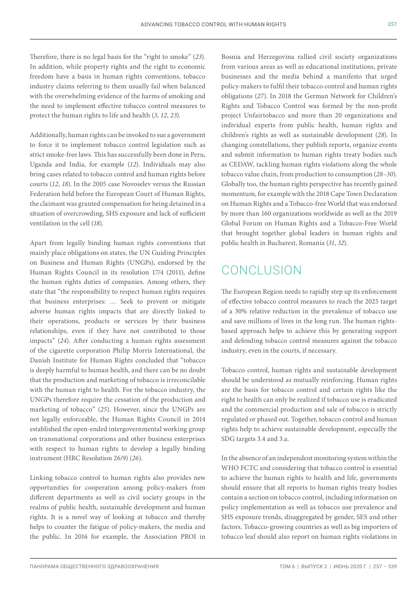Therefore, there is no legal basis for the "right to smoke" (*23*). In addition, while property rights and the right to economic freedom have a basis in human rights conventions, tobacco industry claims referring to them usually fail when balanced with the overwhelming evidence of the harms of smoking and the need to implement effective tobacco control measures to protect the human rights to life and health (*3*, *12*, *23*).

Additionally, human rights can be invoked to sue a government to force it to implement tobacco control legislation such as strict smoke-free laws. This has successfully been done in Peru, Uganda and India, for example (*12*). Individuals may also bring cases related to tobacco control and human rights before courts (*12*, *18*). In the 2005 case Novoselev versus the Russian Federation held before the European Court of Human Rights, the claimant was granted compensation for being detained in a situation of overcrowding, SHS exposure and lack of sufficient ventilation in the cell (*18*).

Apart from legally binding human rights conventions that mainly place obligations on states, the UN Guiding Principles on Business and Human Rights (UNGPs), endorsed by the Human Rights Council in its resolution 17/4 (2011), define the human rights duties of companies. Among others, they state that "the responsibility to respect human rights requires that business enterprises: … Seek to prevent or mitigate adverse human rights impacts that are directly linked to their operations, products or services by their business relationships, even if they have not contributed to those impacts" (*24*). After conducting a human rights assessment of the cigarette corporation Philip Morris International, the Danish Institute for Human Rights concluded that "tobacco is deeply harmful to human health, and there can be no doubt that the production and marketing of tobacco is irreconcilable with the human right to health. For the tobacco industry, the UNGPs therefore require the cessation of the production and marketing of tobacco" (*25*). However, since the UNGPs are not legally enforceable, the Human Rights Council in 2014 established the open-ended intergovernmental working group on transnational corporations and other business enterprises with respect to human rights to develop a legally binding instrument (HRC Resolution 26/9) (*26*).

Linking tobacco control to human rights also provides new opportunities for cooperation among policy-makers from different departments as well as civil society groups in the realms of public health, sustainable development and human rights. It is a novel way of looking at tobacco and thereby helps to counter the fatigue of policy-makers, the media and the public. In 2016 for example, the Association PROI in Bosnia and Herzegovina rallied civil society organizations from various areas as well as educational institutions, private businesses and the media behind a manifesto that urged policy-makers to fulfil their tobacco control and human rights obligations (*27*). In 2018 the German Network for Children's Rights and Tobacco Control was formed by the non-profit project Unfairtobacco and more than 20 organizations and individual experts from public health, human rights and children's rights as well as sustainable development (*28*). In changing constellations, they publish reports, organize events and submit information to human rights treaty bodies such as CEDAW, tackling human rights violations along the whole tobacco value chain, from production to consumption (*28*–*30*). Globally too, the human rights perspective has recently gained momentum, for example with the 2018 Cape Town Declaration on Human Rights and a Tobacco-free World that was endorsed by more than 160 organizations worldwide as well as the 2019 Global Forum on Human Rights and a Tobacco-Free World that brought together global leaders in human rights and public health in Bucharest, Romania (*31*, *32*).

# CONCLUSION

The European Region needs to rapidly step up its enforcement of effective tobacco control measures to reach the 2025 target of a 30% relative reduction in the prevalence of tobacco use and save millions of lives in the long run. The human rightsbased approach helps to achieve this by generating support and defending tobacco control measures against the tobacco industry, even in the courts, if necessary.

Tobacco control, human rights and sustainable development should be understood as mutually reinforcing. Human rights are the basis for tobacco control and certain rights like the right to health can only be realized if tobacco use is eradicated and the commercial production and sale of tobacco is strictly regulated or phased out. Together, tobacco control and human rights help to achieve sustainable development, especially the SDG targets 3.4 and 3.a.

In the absence of an independent monitoring system within the WHO FCTC and considering that tobacco control is essential to achieve the human rights to health and life, governments should ensure that all reports to human rights treaty bodies contain a section on tobacco control, including information on policy implementation as well as tobacco use prevalence and SHS exposure trends, disaggregated by gender, SES and other factors. Tobacco-growing countries as well as big importers of tobacco leaf should also report on human rights violations in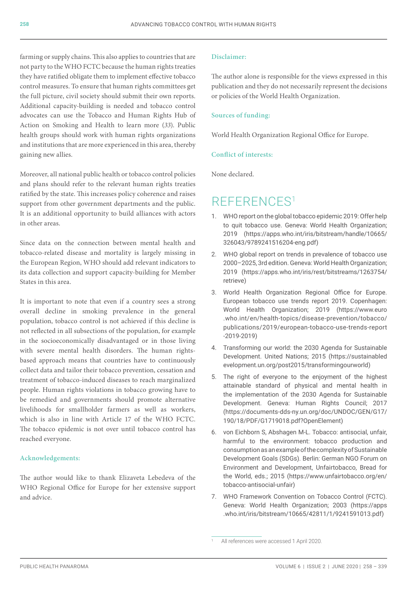farming or supply chains. This also applies to countries that are not party to the WHO FCTC because the human rights treaties they have ratified obligate them to implement effective tobacco control measures. To ensure that human rights committees get the full picture, civil society should submit their own reports. Additional capacity-building is needed and tobacco control advocates can use the Tobacco and Human Rights Hub of Action on Smoking and Health to learn more (*33*). Public health groups should work with human rights organizations and institutions that are more experienced in this area, thereby gaining new allies.

Moreover, all national public health or tobacco control policies and plans should refer to the relevant human rights treaties ratified by the state. This increases policy coherence and raises support from other government departments and the public. It is an additional opportunity to build alliances with actors in other areas.

Since data on the connection between mental health and tobacco-related disease and mortality is largely missing in the European Region, WHO should add relevant indicators to its data collection and support capacity-building for Member States in this area.

It is important to note that even if a country sees a strong overall decline in smoking prevalence in the general population, tobacco control is not achieved if this decline is not reflected in all subsections of the population, for example in the socioeconomically disadvantaged or in those living with severe mental health disorders. The human rightsbased approach means that countries have to continuously collect data and tailor their tobacco prevention, cessation and treatment of tobacco-induced diseases to reach marginalized people. Human rights violations in tobacco growing have to be remedied and governments should promote alternative livelihoods for smallholder farmers as well as workers, which is also in line with Article 17 of the WHO FCTC. The tobacco epidemic is not over until tobacco control has reached everyone.

#### **Acknowledgements:**

The author would like to thank Elizaveta Lebedeva of the WHO Regional Office for Europe for her extensive support and advice.

#### **Disclaimer:**

The author alone is responsible for the views expressed in this publication and they do not necessarily represent the decisions or policies of the World Health Organization.

#### **Sources of funding:**

World Health Organization Regional Office for Europe.

#### **Conflict of interests:**

None declared.

## REFERENCES<sup>1</sup>

- 1. WHO report on the global tobacco epidemic 2019: Offer help to quit tobacco use. Geneva: World Health Organization; 2019 [\(https://apps.who.int/iris/bitstream/handle/10665/](https://apps.who.int/iris/bitstream/handle/10665/326043/9789241516204-eng.pdf) [326043/9789241516204-eng.pdf\)](https://apps.who.int/iris/bitstream/handle/10665/326043/9789241516204-eng.pdf)
- 2. WHO global report on trends in prevalence of tobacco use 2000–2025, 3rd edition. Geneva: World Health Organization; 2019 [\(https://apps.who.int/iris/rest/bitstreams/1263754/](https://apps.who.int/iris/rest/bitstreams/1263754/retrieve) [retrieve\)](https://apps.who.int/iris/rest/bitstreams/1263754/retrieve)
- 3. World Health Organization Regional Office for Europe. European tobacco use trends report 2019. Copenhagen: World Health Organization; 2019 ([https://www.euro](https://www.euro.who.int/en/health-topics/disease-prevention/tobacco/publications/2019/european-tobacco-use-trends-report-2019-2019) [.who.int/en/health-topics/disease-prevention/tobacco/](https://www.euro.who.int/en/health-topics/disease-prevention/tobacco/publications/2019/european-tobacco-use-trends-report-2019-2019) [publications/2019/european-tobacco-use-trends-report](https://www.euro.who.int/en/health-topics/disease-prevention/tobacco/publications/2019/european-tobacco-use-trends-report-2019-2019) [-2019-2019](https://www.euro.who.int/en/health-topics/disease-prevention/tobacco/publications/2019/european-tobacco-use-trends-report-2019-2019))
- 4. Transforming our world: the 2030 Agenda for Sustainable Development. United Nations; 2015 ([https://sustainabled](https://sustainabledevelopment.un.org/post2015/transformingourworld) [evelopment.un.org/post2015/transformingourworld\)](https://sustainabledevelopment.un.org/post2015/transformingourworld)
- 5. The right of everyone to the enjoyment of the highest attainable standard of physical and mental health in the implementation of the 2030 Agenda for Sustainable Development. Geneva: Human Rights Council; 2017 ([https://documents-dds-ny.un.org/doc/UNDOC/GEN/G17/](https://documents-dds-ny.un.org/doc/UNDOC/GEN/G17/190/18/PDF/G1719018.pdf?OpenElement) [190/18/PDF/G1719018.pdf?OpenElement](https://documents-dds-ny.un.org/doc/UNDOC/GEN/G17/190/18/PDF/G1719018.pdf?OpenElement))
- 6. von Eichborn S, Abshagen M-L. Tobacco: antisocial, unfair, harmful to the environment: tobacco production and consumption as an example of the complexity of Sustainable Development Goals (SDGs). Berlin: German NGO Forum on Environment and Development, Unfairtobacco, Bread for the World, eds.; 2015 ([https://www.unfairtobacco.org/en/](https://www.unfairtobacco.org/en/tobacco-antisocial-unfair) [tobacco-antisocial-unfair](https://www.unfairtobacco.org/en/tobacco-antisocial-unfair))
- 7. WHO Framework Convention on Tobacco Control (FCTC). Geneva: World Health Organization; 2003 ([https://apps](https://apps.who.int/iris/bitstream/10665/42811/1/9241591013.pdf) [.who.int/iris/bitstream/10665/42811/1/9241591013.pdf\)](https://apps.who.int/iris/bitstream/10665/42811/1/9241591013.pdf)

<sup>1</sup> All references were accessed 1 April 2020.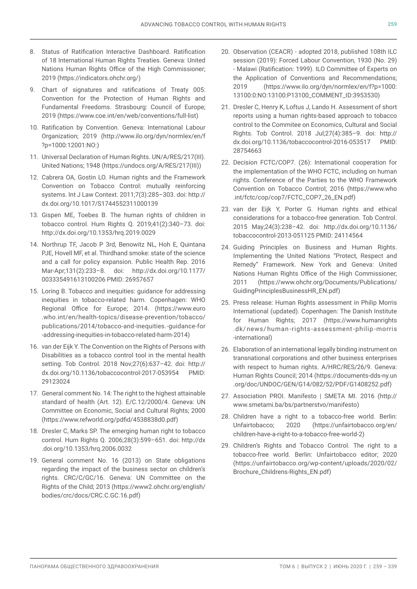- 8. Status of Ratification Interactive Dashboard. Ratification of 18 International Human Rights Treaties. Geneva: United Nations Human Rights Office of the High Commissioner; 2019 [\(https://indicators.ohchr.org/\)](https://indicators.ohchr.org/)
- 9. Chart of signatures and ratifications of Treaty 005: Convention for the Protection of Human Rights and Fundamental Freedoms. Strasbourg: Council of Europe; 2019 [\(https://www.coe.int/en/web/conventions/full-list](https://www.coe.int/en/web/conventions/full-list))
- 10. Ratification by Convention. Geneva: International Labour Organization; 2019 ([http://www.ilo.org/dyn/normlex/en/f](http://www.ilo.org/dyn/normlex/en/f?p=1000:12001:NO) [?p=1000:12001:NO](http://www.ilo.org/dyn/normlex/en/f?p=1000:12001:NO):)
- 11. Universal Declaration of Human Rights. UN/A/RES/217(III). United Nations; 1948 ([https://undocs.org/A/RES/217\(III\)](https://undocs.org/A/RES/217(III)))
- 12. Cabrera OA, Gostin LO. Human rights and the Framework Convention on Tobacco Control: mutually reinforcing systems. Int J Law Context. 2011;7(3):285–303. doi: [http://](http://dx.doi.org/10.1017/S1744552311000139) [dx.doi.org/10.1017/S1744552311000139](http://dx.doi.org/10.1017/S1744552311000139)
- 13. Gispen ME, Toebes B. The human rights of children in tobacco control. Hum Rights Q. 2019;41(2):340–73. doi: <http://dx.doi.org/10.1353/hrq.2019.0029>
- 14. Northrup TF, Jacob P 3rd, Benowitz NL, Hoh E, Quintana PJE, Hovell MF, et al. Thirdhand smoke: state of the science and a call for policy expansion. Public Health Rep. 2016 Mar-Apr;131(2):233–8. doi: [http://dx.doi.org/10.1177/](http://dx.doi.org/10.1177/003335491613100206) [003335491613100206](http://dx.doi.org/10.1177/003335491613100206) PMID: [26957657](http://www.ncbi.nlm.nih.gov/pubmed/26957657)
- 15. Loring B. Tobacco and inequities: guidance for addressing inequities in tobacco-related harm. Copenhagen: WHO Regional Office for Europe; 2014. ([https://www.euro](https://www.euro.who.int/en/health-topics/disease-prevention/tobacco/publications/2014/tobacco-and-inequities.-guidance-for-addressing-inequities-in-tobacco-related-harm-2014) [.who.int/en/health-topics/disease-prevention/tobacco/](https://www.euro.who.int/en/health-topics/disease-prevention/tobacco/publications/2014/tobacco-and-inequities.-guidance-for-addressing-inequities-in-tobacco-related-harm-2014) [publications/2014/tobacco-and-inequities.-guidance-for](https://www.euro.who.int/en/health-topics/disease-prevention/tobacco/publications/2014/tobacco-and-inequities.-guidance-for-addressing-inequities-in-tobacco-related-harm-2014) [-addressing-inequities-in-tobacco-related-harm-2014](https://www.euro.who.int/en/health-topics/disease-prevention/tobacco/publications/2014/tobacco-and-inequities.-guidance-for-addressing-inequities-in-tobacco-related-harm-2014))
- 16. van der Eijk Y. The Convention on the Rights of Persons with Disabilities as a tobacco control tool in the mental health setting. Tob Control. 2018 Nov;27(6):637–42. doi: [http://](http://dx.doi.org/10.1136/tobaccocontrol-2017-053954) [dx.doi.org/10.1136/tobaccocontrol-2017-053954](http://dx.doi.org/10.1136/tobaccocontrol-2017-053954) PMID: [29123024](http://www.ncbi.nlm.nih.gov/pubmed/29123024)
- 17. General comment No. 14: The right to the highest attainable standard of health (Art. 12). E/C.12/2000/4. Geneva: UN Committee on Economic, Social and Cultural Rights; 2000 (<https://www.refworld.org/pdfid/4538838d0.pdf>)
- 18. Dresler C, Marks SP. The emerging human right to tobacco control. Hum Rights Q. 2006;28(3):599–651. doi: [http://dx](http://dx.doi.org/10.1353/hrq.2006.0032) [.doi.org/10.1353/hrq.2006.0032](http://dx.doi.org/10.1353/hrq.2006.0032)
- 19. General comment No. 16 (2013) on State obligations regarding the impact of the business sector on children's rights. CRC/C/GC/16. Geneva: UN Committee on the Rights of the Child; 2013 ([https://www2.ohchr.org/english/](https://www2.ohchr.org/english/bodies/crc/docs/CRC.C.GC.16.pdf) [bodies/crc/docs/CRC.C.GC.16.pdf](https://www2.ohchr.org/english/bodies/crc/docs/CRC.C.GC.16.pdf))
- 20. Observation (CEACR) adopted 2018, published 108th ILC session (2019): Forced Labour Convention, 1930 (No. 29) - Malawi (Ratification: 1999). ILO Committee of Experts on the Application of Conventions and Recommendations; 2019 ([https://www.ilo.org/dyn/normlex/en/f?p=1000:](https://www.ilo.org/dyn/normlex/en/f?p=1000:13100:0:NO:13100:P13100_COMMENT_ID:3953530) [13100:0:NO:13100:P13100\\_COMMENT\\_ID:3953530](https://www.ilo.org/dyn/normlex/en/f?p=1000:13100:0:NO:13100:P13100_COMMENT_ID:3953530))
- 21. Dresler C, Henry K, Loftus J, Lando H. Assessment of short reports using a human rights-based approach to tobacco control to the Commitee on Economics, Cultural and Social Rights. Tob Control. 2018 Jul;27(4):385–9. doi: [http://](http://dx.doi.org/10.1136/tobaccocontrol-2016-053517) [dx.doi.org/10.1136/tobaccocontrol-2016-053517](http://dx.doi.org/10.1136/tobaccocontrol-2016-053517) PMID: [28754663](http://www.ncbi.nlm.nih.gov/pubmed/28754663)
- 22. Decision FCTC/COP7. (26): International cooperation for the implementation of the WHO FCTC, including on human rights. Conference of the Parties to the WHO Framework Convention on Tobacco Control; 2016 ([https://www.who](https://www.who.int/fctc/cop/cop7/FCTC_COP7_26_EN.pdf) [.int/fctc/cop/cop7/FCTC\\_COP7\\_26\\_EN.pdf\)](https://www.who.int/fctc/cop/cop7/FCTC_COP7_26_EN.pdf)
- 23. van der Eijk Y, Porter G. Human rights and ethical considerations for a tobacco-free generation. Tob Control. 2015 May;24(3):238–42. doi: [http://dx.doi.org/10.1136/](http://dx.doi.org/10.1136/tobaccocontrol-2013-051125) [tobaccocontrol-2013-051125](http://dx.doi.org/10.1136/tobaccocontrol-2013-051125) PMID: [24114564](http://www.ncbi.nlm.nih.gov/pubmed/24114564)
- 24. Guiding Principles on Business and Human Rights. Implementing the United Nations "Protect, Respect and Remedy" Framework. New York and Geneva: United Nations Human Rights Office of the High Commissioner; 2011 [\(https://www.ohchr.org/Documents/Publications/](https://www.ohchr.org/Documents/Publications/GuidingPrinciplesBusinessHR_EN.pdf) [GuidingPrinciplesBusinessHR\\_EN.pdf](https://www.ohchr.org/Documents/Publications/GuidingPrinciplesBusinessHR_EN.pdf))
- 25. Press release: Human Rights assessment in Philip Morris International (updated). Copenhagen: The Danish Institute for Human Rights; 2017 ([https://www.humanrights](https://www.humanrights.dk/news/human-rights-assessment-philip-morris-international) .dk/ news/ human -rights [-assessment-philip](https://www.humanrights.dk/news/human-rights-assessment-philip-morris-international) -morris [-international\)](https://www.humanrights.dk/news/human-rights-assessment-philip-morris-international)
- 26. Elaboration of an international legally binding instrument on transnational corporations and other business enterprises with respect to human rights. A/HRC/RES/26/9. Geneva: Human Rights Council; 2014 ([https://documents-dds-ny.un](https://documents-dds-ny.un.org/doc/UNDOC/GEN/G14/082/52/PDF/G1408252.pdf) [.org/doc/UNDOC/GEN/G14/082/52/PDF/G1408252.pdf](https://documents-dds-ny.un.org/doc/UNDOC/GEN/G14/082/52/PDF/G1408252.pdf))
- 27. Association PROI. Manifesto | SMETA MI. 2016 [\(http://](http://www.smetami.ba/bs/partnerstvo/manifesto) [www.smetami.ba/bs/partnerstvo/manifesto\)](http://www.smetami.ba/bs/partnerstvo/manifesto)
- 28. Children have a right to a tobacco-free world. Berlin: Unfairtobacco; 2020 ([https://unfairtobacco.org/en/](https://unfairtobacco.org/en/children-have-a-right-to-a-tobacco-free-world-2) [children-have-a-right-to-a-tobacco-free-world-2](https://unfairtobacco.org/en/children-have-a-right-to-a-tobacco-free-world-2))
- 29. Children's Rights and Tobacco Control. The right to a tobacco-free world. Berlin: Unfairtobacco editor; 2020 [\(https://unfairtobacco.org/wp-content/uploads/2020/02/](https://unfairtobacco.org/wp-content/uploads/2020/02/Brochure_Childrens-Rights_EN.pdf) [Brochure\\_Childrens-Rights\\_EN.pdf\)](https://unfairtobacco.org/wp-content/uploads/2020/02/Brochure_Childrens-Rights_EN.pdf)